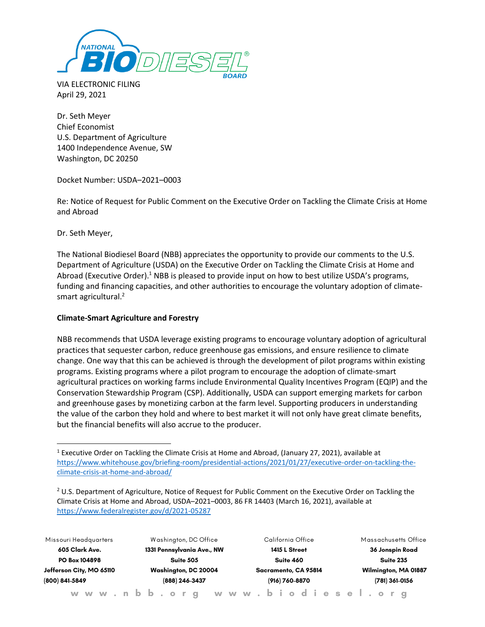

VIA ELECTRONIC FILING April 29, 2021

Dr. Seth Meyer Chief Economist U.S. Department of Agriculture 1400 Independence Avenue, SW Washington, DC 20250

Docket Number: USDA–2021–0003

Re: Notice of Request for Public Comment on the Executive Order on Tackling the Climate Crisis at Home and Abroad

Dr. Seth Meyer,

The National Biodiesel Board (NBB) appreciates the opportunity to provide our comments to the U.S. Department of Agriculture (USDA) on the Executive Order on Tackling the Climate Crisis at Home and Abroad (Executive Order).<sup>1</sup> NBB is pleased to provide input on how to best utilize USDA's programs, funding and financing capacities, and other authorities to encourage the voluntary adoption of climatesmart agricultural. 2

# **Climate-Smart Agriculture and Forestry**

NBB recommends that USDA leverage existing programs to encourage voluntary adoption of agricultural practices that sequester carbon, reduce greenhouse gas emissions, and ensure resilience to climate change. One way that this can be achieved is through the development of pilot programs within existing programs. Existing programs where a pilot program to encourage the adoption of climate-smart agricultural practices on working farms include Environmental Quality Incentives Program (EQIP) and the Conservation Stewardship Program (CSP). Additionally, USDA can support emerging markets for carbon and greenhouse gases by monetizing carbon at the farm level. Supporting producers in understanding the value of the carbon they hold and where to best market it will not only have great climate benefits, but the financial benefits will also accrue to the producer.

 $2$  U.S. Department of Agriculture, Notice of Request for Public Comment on the Executive Order on Tackling the Climate Crisis at Home and Abroad, USDA–2021–0003, 86 FR 14403 (March 16, 2021), available at <https://www.federalregister.gov/d/2021-05287>

| Missouri Headquarters<br>605 Clark Ave.<br>PO Box 104898<br>Jefferson City, MO 65110<br>(800) 841-5849 |  |  |  |  | Washington, DC Office                  |  |  |  |  |  |  |                      | California Office |               |  |  |  |  |  |  |                      |                |                 |  |  | Massachusetts Office |  |
|--------------------------------------------------------------------------------------------------------|--|--|--|--|----------------------------------------|--|--|--|--|--|--|----------------------|-------------------|---------------|--|--|--|--|--|--|----------------------|----------------|-----------------|--|--|----------------------|--|
|                                                                                                        |  |  |  |  | 1331 Pennsylvania Ave., NW             |  |  |  |  |  |  |                      |                   | 1415 L Street |  |  |  |  |  |  |                      |                | 36 Jonspin Road |  |  |                      |  |
|                                                                                                        |  |  |  |  | Suite 505                              |  |  |  |  |  |  |                      | Suite 460         |               |  |  |  |  |  |  |                      |                |                 |  |  | Suite 235            |  |
|                                                                                                        |  |  |  |  | Washington, DC 20004<br>(888) 246-3437 |  |  |  |  |  |  | Sacramento, CA 95814 |                   |               |  |  |  |  |  |  | Wilmington, MA 01887 |                |                 |  |  |                      |  |
|                                                                                                        |  |  |  |  |                                        |  |  |  |  |  |  | (916) 760-8870       |                   |               |  |  |  |  |  |  |                      | (781) 361-0156 |                 |  |  |                      |  |
| www.nbb.org www.biodiesel.org                                                                          |  |  |  |  |                                        |  |  |  |  |  |  |                      |                   |               |  |  |  |  |  |  |                      |                |                 |  |  |                      |  |

<sup>&</sup>lt;sup>1</sup> Executive Order on Tackling the Climate Crisis at Home and Abroad, (January 27, 2021), available at [https://www.whitehouse.gov/briefing-room/presidential-actions/2021/01/27/executive-order-on-tackling-the](https://www.whitehouse.gov/briefing-room/presidential-actions/2021/01/27/executive-order-on-tackling-the-climate-crisis-at-home-and-abroad/)[climate-crisis-at-home-and-abroad/](https://www.whitehouse.gov/briefing-room/presidential-actions/2021/01/27/executive-order-on-tackling-the-climate-crisis-at-home-and-abroad/)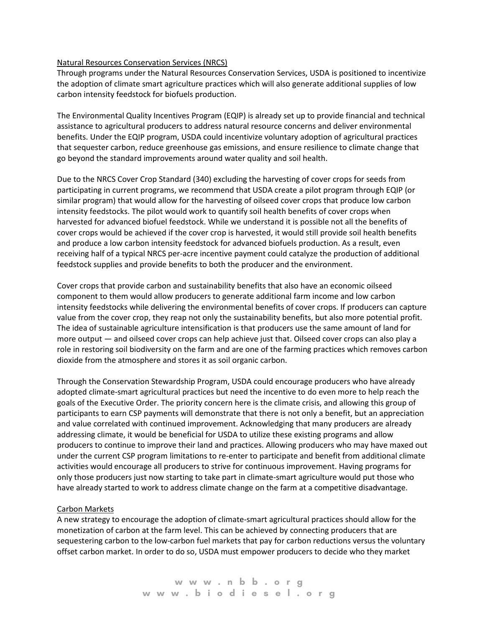### Natural Resources Conservation Services (NRCS)

Through programs under the Natural Resources Conservation Services, USDA is positioned to incentivize the adoption of climate smart agriculture practices which will also generate additional supplies of low carbon intensity feedstock for biofuels production.

The Environmental Quality Incentives Program (EQIP) is already set up to provide financial and technical assistance to agricultural producers to address natural resource concerns and deliver environmental benefits. Under the EQIP program, USDA could incentivize voluntary adoption of agricultural practices that sequester carbon, reduce greenhouse gas emissions, and ensure resilience to climate change that go beyond the standard improvements around water quality and soil health.

Due to the NRCS Cover Crop Standard (340) excluding the harvesting of cover crops for seeds from participating in current programs, we recommend that USDA create a pilot program through EQIP (or similar program) that would allow for the harvesting of oilseed cover crops that produce low carbon intensity feedstocks. The pilot would work to quantify soil health benefits of cover crops when harvested for advanced biofuel feedstock. While we understand it is possible not all the benefits of cover crops would be achieved if the cover crop is harvested, it would still provide soil health benefits and produce a low carbon intensity feedstock for advanced biofuels production. As a result, even receiving half of a typical NRCS per-acre incentive payment could catalyze the production of additional feedstock supplies and provide benefits to both the producer and the environment.

Cover crops that provide carbon and sustainability benefits that also have an economic oilseed component to them would allow producers to generate additional farm income and low carbon intensity feedstocks while delivering the environmental benefits of cover crops. If producers can capture value from the cover crop, they reap not only the sustainability benefits, but also more potential profit. The idea of sustainable agriculture intensification is that producers use the same amount of land for more output — and oilseed cover crops can help achieve just that. Oilseed cover crops can also play a role in restoring soil biodiversity on the farm and are one of the farming practices which removes carbon dioxide from the atmosphere and stores it as soil organic carbon.

Through the Conservation Stewardship Program, USDA could encourage producers who have already adopted climate-smart agricultural practices but need the incentive to do even more to help reach the goals of the Executive Order. The priority concern here is the climate crisis, and allowing this group of participants to earn CSP payments will demonstrate that there is not only a benefit, but an appreciation and value correlated with continued improvement. Acknowledging that many producers are already addressing climate, it would be beneficial for USDA to utilize these existing programs and allow producers to continue to improve their land and practices. Allowing producers who may have maxed out under the current CSP program limitations to re-enter to participate and benefit from additional climate activities would encourage all producers to strive for continuous improvement. Having programs for only those producers just now starting to take part in climate-smart agriculture would put those who have already started to work to address climate change on the farm at a competitive disadvantage.

# Carbon Markets

A new strategy to encourage the adoption of climate-smart agricultural practices should allow for the monetization of carbon at the farm level. This can be achieved by connecting producers that are sequestering carbon to the low-carbon fuel markets that pay for carbon reductions versus the voluntary offset carbon market. In order to do so, USDA must empower producers to decide who they market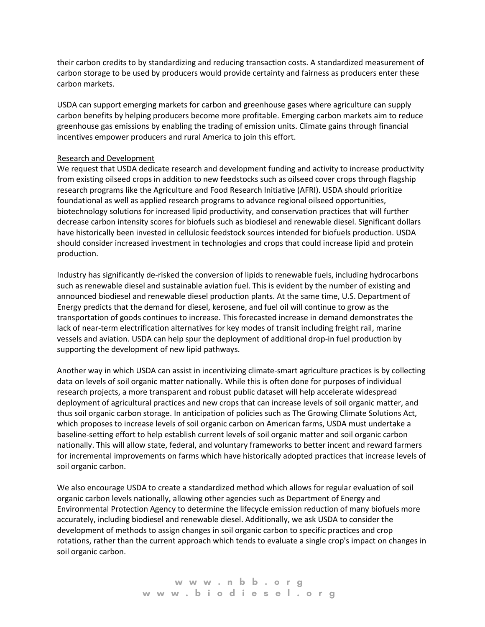their carbon credits to by standardizing and reducing transaction costs. A standardized measurement of carbon storage to be used by producers would provide certainty and fairness as producers enter these carbon markets.

USDA can support emerging markets for carbon and greenhouse gases where agriculture can supply carbon benefits by helping producers become more profitable. Emerging carbon markets aim to reduce greenhouse gas emissions by enabling the trading of emission units. Climate gains through financial incentives empower producers and rural America to join this effort.

#### Research and Development

We request that USDA dedicate research and development funding and activity to increase productivity from existing oilseed crops in addition to new feedstocks such as oilseed cover crops through flagship research programs like the Agriculture and Food Research Initiative (AFRI). USDA should prioritize foundational as well as applied research programs to advance regional oilseed opportunities, biotechnology solutions for increased lipid productivity, and conservation practices that will further decrease carbon intensity scores for biofuels such as biodiesel and renewable diesel. Significant dollars have historically been invested in cellulosic feedstock sources intended for biofuels production. USDA should consider increased investment in technologies and crops that could increase lipid and protein production.

Industry has significantly de-risked the conversion of lipids to renewable fuels, including hydrocarbons such as renewable diesel and sustainable aviation fuel. This is evident by the number of existing and announced biodiesel and renewable diesel production plants. At the same time, U.S. Department of Energy predicts that the demand for diesel, kerosene, and fuel oil will continue to grow as the transportation of goods continues to increase. This forecasted increase in demand demonstrates the lack of near-term electrification alternatives for key modes of transit including freight rail, marine vessels and aviation. USDA can help spur the deployment of additional drop-in fuel production by supporting the development of new lipid pathways.

Another way in which USDA can assist in incentivizing climate-smart agriculture practices is by collecting data on levels of soil organic matter nationally. While this is often done for purposes of individual research projects, a more transparent and robust public dataset will help accelerate widespread deployment of agricultural practices and new crops that can increase levels of soil organic matter, and thus soil organic carbon storage. In anticipation of policies such as The Growing Climate Solutions Act, which proposes to increase levels of soil organic carbon on American farms, USDA must undertake a baseline-setting effort to help establish current levels of soil organic matter and soil organic carbon nationally. This will allow state, federal, and voluntary frameworks to better incent and reward farmers for incremental improvements on farms which have historically adopted practices that increase levels of soil organic carbon.

We also encourage USDA to create a standardized method which allows for regular evaluation of soil organic carbon levels nationally, allowing other agencies such as Department of Energy and Environmental Protection Agency to determine the lifecycle emission reduction of many biofuels more accurately, including biodiesel and renewable diesel. Additionally, we ask USDA to consider the development of methods to assign changes in soil organic carbon to specific practices and crop rotations, rather than the current approach which tends to evaluate a single crop's impact on changes in soil organic carbon.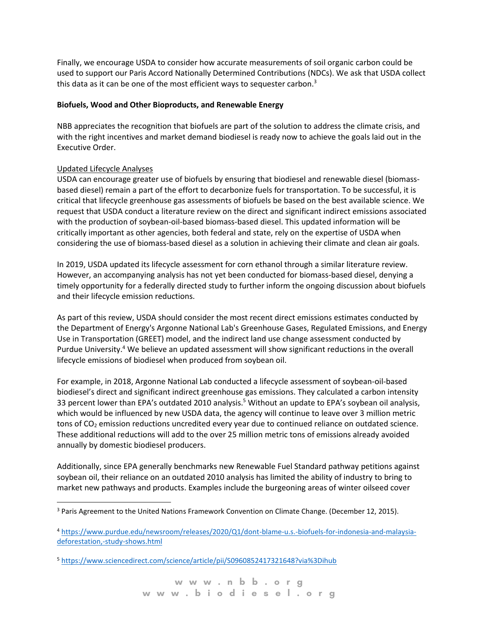Finally, we encourage USDA to consider how accurate measurements of soil organic carbon could be used to support our Paris Accord Nationally Determined Contributions (NDCs). We ask that USDA collect this data as it can be one of the most efficient ways to sequester carbon.<sup>3</sup>

### **Biofuels, Wood and Other Bioproducts, and Renewable Energy**

NBB appreciates the recognition that biofuels are part of the solution to address the climate crisis, and with the right incentives and market demand biodiesel is ready now to achieve the goals laid out in the Executive Order.

# Updated Lifecycle Analyses

USDA can encourage greater use of biofuels by ensuring that biodiesel and renewable diesel (biomassbased diesel) remain a part of the effort to decarbonize fuels for transportation. To be successful, it is critical that lifecycle greenhouse gas assessments of biofuels be based on the best available science. We request that USDA conduct a literature review on the direct and significant indirect emissions associated with the production of soybean-oil-based biomass-based diesel. This updated information will be critically important as other agencies, both federal and state, rely on the expertise of USDA when considering the use of biomass-based diesel as a solution in achieving their climate and clean air goals.

In 2019, USDA updated its lifecycle assessment for corn ethanol through a similar literature review. However, an accompanying analysis has not yet been conducted for biomass-based diesel, denying a timely opportunity for a federally directed study to further inform the ongoing discussion about biofuels and their lifecycle emission reductions.

As part of this review, USDA should consider the most recent direct emissions estimates conducted by the Department of Energy's Argonne National Lab's Greenhouse Gases, Regulated Emissions, and Energy Use in Transportation (GREET) model, and the indirect land use change assessment conducted by Purdue University.<sup>4</sup> We believe an updated assessment will show significant reductions in the overall lifecycle emissions of biodiesel when produced from soybean oil.

For example, in 2018, Argonne National Lab conducted a lifecycle assessment of soybean-oil-based biodiesel's direct and significant indirect greenhouse gas emissions. They calculated a carbon intensity 33 percent lower than EPA's outdated 2010 analysis.<sup>5</sup> Without an update to EPA's soybean oil analysis, which would be influenced by new USDA data, the agency will continue to leave over 3 million metric tons of CO<sub>2</sub> emission reductions uncredited every year due to continued reliance on outdated science. These additional reductions will add to the over 25 million metric tons of emissions already avoided annually by domestic biodiesel producers.

Additionally, since EPA generally benchmarks new Renewable Fuel Standard pathway petitions against soybean oil, their reliance on an outdated 2010 analysis has limited the ability of industry to bring to market new pathways and products. Examples include the burgeoning areas of winter oilseed cover

<sup>&</sup>lt;sup>3</sup> Paris Agreement to the United Nations Framework Convention on Climate Change. (December 12, 2015).

<sup>4</sup> [https://www.purdue.edu/newsroom/releases/2020/Q1/dont-blame-u.s.-biofuels-for-indonesia-and-malaysia](https://www.purdue.edu/newsroom/releases/2020/Q1/dont-blame-u.s.-biofuels-for-indonesia-and-malaysia-deforestation,-study-shows.html)[deforestation,-study-shows.html](https://www.purdue.edu/newsroom/releases/2020/Q1/dont-blame-u.s.-biofuels-for-indonesia-and-malaysia-deforestation,-study-shows.html)

<sup>5</sup> <https://www.sciencedirect.com/science/article/pii/S0960852417321648?via%3Dihub>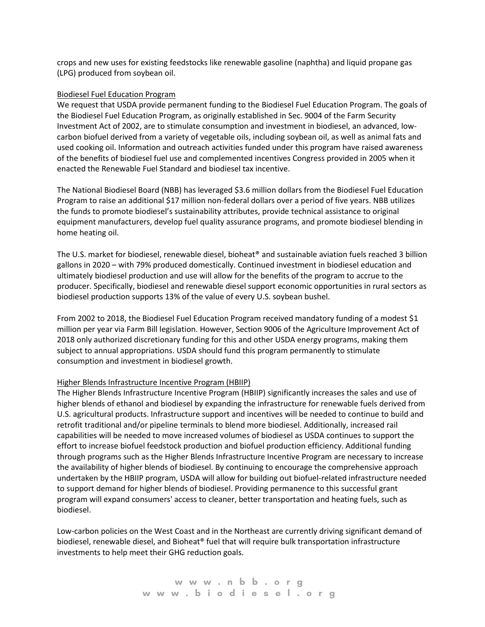crops and new uses for existing feedstocks like renewable gasoline (naphtha) and liquid propane gas (LPG) produced from soybean oil.

#### Biodiesel Fuel Education Program

We request that USDA provide permanent funding to the Biodiesel Fuel Education Program. The goals of the Biodiesel Fuel Education Program, as originally established in Sec. 9004 of the Farm Security Investment Act of 2002, are to stimulate consumption and investment in biodiesel, an advanced, lowcarbon biofuel derived from a variety of vegetable oils, including soybean oil, as well as animal fats and used cooking oil. Information and outreach activities funded under this program have raised awareness of the benefits of biodiesel fuel use and complemented incentives Congress provided in 2005 when it enacted the Renewable Fuel Standard and biodiesel tax incentive.

The National Biodiesel Board (NBB) has leveraged \$3.6 million dollars from the Biodiesel Fuel Education Program to raise an additional \$17 million non-federal dollars over a period of five years. NBB utilizes the funds to promote biodiesel's sustainability attributes, provide technical assistance to original equipment manufacturers, develop fuel quality assurance programs, and promote biodiesel blending in home heating oil.

The U.S. market for biodiesel, renewable diesel, bioheat® and sustainable aviation fuels reached 3 billion gallons in 2020 – with 79% produced domestically. Continued investment in biodiesel education and ultimately biodiesel production and use will allow for the benefits of the program to accrue to the producer. Specifically, biodiesel and renewable diesel support economic opportunities in rural sectors as biodiesel production supports 13% of the value of every U.S. soybean bushel.

From 2002 to 2018, the Biodiesel Fuel Education Program received mandatory funding of a modest \$1 million per year via Farm Bill legislation. However, Section 9006 of the Agriculture Improvement Act of 2018 only authorized discretionary funding for this and other USDA energy programs, making them subject to annual appropriations. USDA should fund this program permanently to stimulate consumption and investment in biodiesel growth.

#### Higher Blends Infrastructure Incentive Program (HBIIP)

The Higher Blends Infrastructure Incentive Program (HBIIP) significantly increases the sales and use of higher blends of ethanol and biodiesel by expanding the infrastructure for renewable fuels derived from U.S. agricultural products. Infrastructure support and incentives will be needed to continue to build and retrofit traditional and/or pipeline terminals to blend more biodiesel. Additionally, increased rail capabilities will be needed to move increased volumes of biodiesel as USDA continues to support the effort to increase biofuel feedstock production and biofuel production efficiency. Additional funding through programs such as the Higher Blends Infrastructure Incentive Program are necessary to increase the availability of higher blends of biodiesel. By continuing to encourage the comprehensive approach undertaken by the HBIIP program, USDA will allow for building out biofuel-related infrastructure needed to support demand for higher blends of biodiesel. Providing permanence to this successful grant program will expand consumers' access to cleaner, better transportation and heating fuels, such as biodiesel.

Low-carbon policies on the West Coast and in the Northeast are currently driving significant demand of biodiesel, renewable diesel, and Bioheat® fuel that will require bulk transportation infrastructure investments to help meet their GHG reduction goals.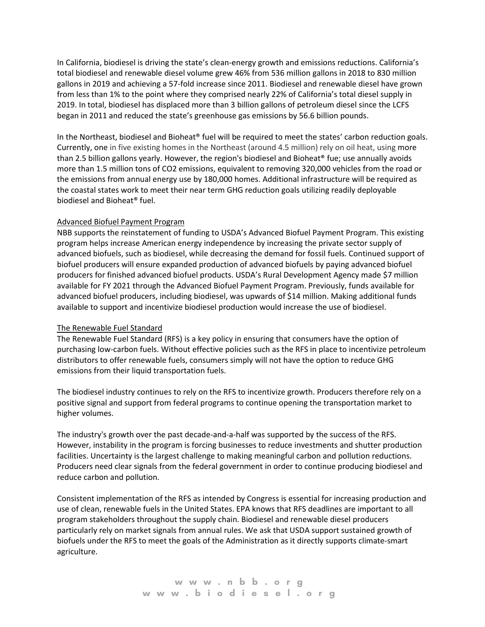In California, biodiesel is driving the state's clean-energy growth and emissions reductions. California's total biodiesel and renewable diesel volume grew 46% from 536 million gallons in 2018 to 830 million gallons in 2019 and achieving a 57-fold increase since 2011. Biodiesel and renewable diesel have grown from less than 1% to the point where they comprised nearly 22% of California's total diesel supply in 2019. In total, biodiesel has displaced more than 3 billion gallons of petroleum diesel since the LCFS began in 2011 and reduced the state's greenhouse gas emissions by 56.6 billion pounds.

In the Northeast, biodiesel and Bioheat<sup>®</sup> fuel will be required to meet the states' carbon reduction goals. Currently, one in five existing homes in the Northeast (around 4.5 million) rely on oil heat, using more than 2.5 billion gallons yearly. However, the region's biodiesel and Bioheat® fue; use annually avoids more than 1.5 million tons of CO2 emissions, equivalent to removing 320,000 vehicles from the road or the emissions from annual energy use by 180,000 homes. Additional infrastructure will be required as the coastal states work to meet their near term GHG reduction goals utilizing readily deployable biodiesel and Bioheat® fuel.

# Advanced Biofuel Payment Program

NBB supports the reinstatement of funding to USDA's Advanced Biofuel Payment Program. This existing program helps increase American energy independence by increasing the private sector supply of advanced biofuels, such as biodiesel, while decreasing the demand for fossil fuels. Continued support of biofuel producers will ensure expanded production of advanced biofuels by paying advanced biofuel producers for finished advanced biofuel products. USDA's Rural Development Agency made \$7 million available for FY 2021 through the Advanced Biofuel Payment Program. Previously, funds available for advanced biofuel producers, including biodiesel, was upwards of \$14 million. Making additional funds available to support and incentivize biodiesel production would increase the use of biodiesel.

### The Renewable Fuel Standard

The Renewable Fuel Standard (RFS) is a key policy in ensuring that consumers have the option of purchasing low-carbon fuels. Without effective policies such as the RFS in place to incentivize petroleum distributors to offer renewable fuels, consumers simply will not have the option to reduce GHG emissions from their liquid transportation fuels.

The biodiesel industry continues to rely on the RFS to incentivize growth. Producers therefore rely on a positive signal and support from federal programs to continue opening the transportation market to higher volumes.

The industry's growth over the past decade-and-a-half was supported by the success of the RFS. However, instability in the program is forcing businesses to reduce investments and shutter production facilities. Uncertainty is the largest challenge to making meaningful carbon and pollution reductions. Producers need clear signals from the federal government in order to continue producing biodiesel and reduce carbon and pollution.

Consistent implementation of the RFS as intended by Congress is essential for increasing production and use of clean, renewable fuels in the United States. EPA knows that RFS deadlines are important to all program stakeholders throughout the supply chain. Biodiesel and renewable diesel producers particularly rely on market signals from annual rules. We ask that USDA support sustained growth of biofuels under the RFS to meet the goals of the Administration as it directly supports climate-smart agriculture.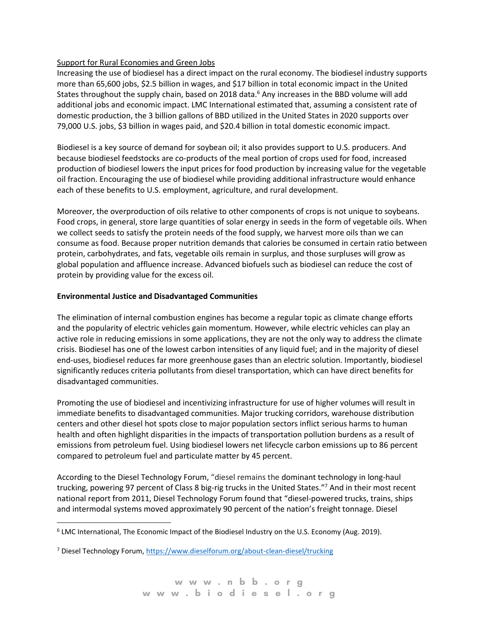## Support for Rural Economies and Green Jobs

Increasing the use of biodiesel has a direct impact on the rural economy. The biodiesel industry supports more than 65,600 jobs, \$2.5 billion in wages, and \$17 billion in total economic impact in the United States throughout the supply chain, based on 2018 data.<sup>6</sup> Any increases in the BBD volume will add additional jobs and economic impact. LMC International estimated that, assuming a consistent rate of domestic production, the 3 billion gallons of BBD utilized in the United States in 2020 supports over 79,000 U.S. jobs, \$3 billion in wages paid, and \$20.4 billion in total domestic economic impact.

Biodiesel is a key source of demand for soybean oil; it also provides support to U.S. producers. And because biodiesel feedstocks are co-products of the meal portion of crops used for food, increased production of biodiesel lowers the input prices for food production by increasing value for the vegetable oil fraction. Encouraging the use of biodiesel while providing additional infrastructure would enhance each of these benefits to U.S. employment, agriculture, and rural development.

Moreover, the overproduction of oils relative to other components of crops is not unique to soybeans. Food crops, in general, store large quantities of solar energy in seeds in the form of vegetable oils. When we collect seeds to satisfy the protein needs of the food supply, we harvest more oils than we can consume as food. Because proper nutrition demands that calories be consumed in certain ratio between protein, carbohydrates, and fats, vegetable oils remain in surplus, and those surpluses will grow as global population and affluence increase. Advanced biofuels such as biodiesel can reduce the cost of protein by providing value for the excess oil.

## **Environmental Justice and Disadvantaged Communities**

The elimination of internal combustion engines has become a regular topic as climate change efforts and the popularity of electric vehicles gain momentum. However, while electric vehicles can play an active role in reducing emissions in some applications, they are not the only way to address the climate crisis. Biodiesel has one of the lowest carbon intensities of any liquid fuel; and in the majority of diesel end-uses, biodiesel reduces far more greenhouse gases than an electric solution. Importantly, biodiesel significantly reduces criteria pollutants from diesel transportation, which can have direct benefits for disadvantaged communities.

Promoting the use of biodiesel and incentivizing infrastructure for use of higher volumes will result in immediate benefits to disadvantaged communities. Major trucking corridors, warehouse distribution centers and other diesel hot spots close to major population sectors inflict serious harms to human health and often highlight disparities in the impacts of transportation pollution burdens as a result of emissions from petroleum fuel. Using biodiesel lowers net lifecycle carbon emissions up to 86 percent compared to petroleum fuel and particulate matter by 45 percent.

According to the Diesel Technology Forum, "diesel remains the dominant technology in long-haul trucking, powering 97 percent of Class 8 big-rig trucks in the United States."<sup>7</sup> And in their most recent national report from 2011, Diesel Technology Forum found that "diesel-powered trucks, trains, ships and intermodal systems moved approximately 90 percent of the nation's freight tonnage. Diesel

<sup>6</sup> LMC International, The Economic Impact of the Biodiesel Industry on the U.S. Economy (Aug. 2019).

<sup>7</sup> Diesel Technology Forum[, https://www.dieselforum.org/about-clean-diesel/trucking](https://www.dieselforum.org/about-clean-diesel/trucking)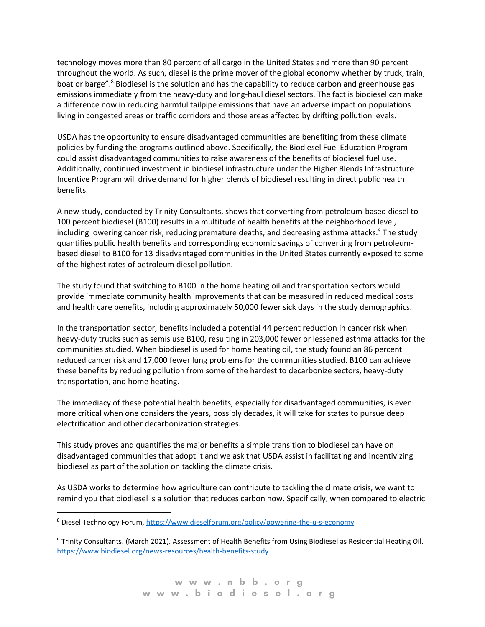technology moves more than 80 percent of all cargo in the United States and more than 90 percent throughout the world. As such, diesel is the prime mover of the global economy whether by truck, train, boat or barge".<sup>8</sup> Biodiesel is the solution and has the capability to reduce carbon and greenhouse gas emissions immediately from the heavy-duty and long-haul diesel sectors. The fact is biodiesel can make a difference now in reducing harmful tailpipe emissions that have an adverse impact on populations living in congested areas or traffic corridors and those areas affected by drifting pollution levels.

USDA has the opportunity to ensure disadvantaged communities are benefiting from these climate policies by funding the programs outlined above. Specifically, the Biodiesel Fuel Education Program could assist disadvantaged communities to raise awareness of the benefits of biodiesel fuel use. Additionally, continued investment in biodiesel infrastructure under the Higher Blends Infrastructure Incentive Program will drive demand for higher blends of biodiesel resulting in direct public health benefits.

A new study, conducted by Trinity Consultants, shows that converting from petroleum-based diesel to 100 percent biodiesel (B100) results in a multitude of health benefits at the neighborhood level, including lowering cancer risk, reducing premature deaths, and decreasing asthma attacks.<sup>9</sup> The study quantifies public health benefits and corresponding economic savings of converting from petroleumbased diesel to B100 for 13 disadvantaged communities in the United States currently exposed to some of the highest rates of petroleum diesel pollution.

The study found that switching to B100 in the home heating oil and transportation sectors would provide immediate community health improvements that can be measured in reduced medical costs and health care benefits, including approximately 50,000 fewer sick days in the study demographics.

In the transportation sector, benefits included a potential 44 percent reduction in cancer risk when heavy-duty trucks such as semis use B100, resulting in 203,000 fewer or lessened asthma attacks for the communities studied. When biodiesel is used for home heating oil, the study found an 86 percent reduced cancer risk and 17,000 fewer lung problems for the communities studied. B100 can achieve these benefits by reducing pollution from some of the hardest to decarbonize sectors, heavy-duty transportation, and home heating.

The immediacy of these potential health benefits, especially for disadvantaged communities, is even more critical when one considers the years, possibly decades, it will take for states to pursue deep electrification and other decarbonization strategies.

This study proves and quantifies the major benefits a simple transition to biodiesel can have on disadvantaged communities that adopt it and we ask that USDA assist in facilitating and incentivizing biodiesel as part of the solution on tackling the climate crisis.

As USDA works to determine how agriculture can contribute to tackling the climate crisis, we want to remind you that biodiesel is a solution that reduces carbon now. Specifically, when compared to electric

<sup>8</sup> Diesel Technology Forum, <https://www.dieselforum.org/policy/powering-the-u-s-economy>

<sup>9</sup> Trinity Consultants. (March 2021). Assessment of Health Benefits from Using Biodiesel as Residential Heating Oil. [https://www.biodiesel.org/news-resources/health-benefits-study.](https://www.biodiesel.org/news-resources/health-benefits-study)